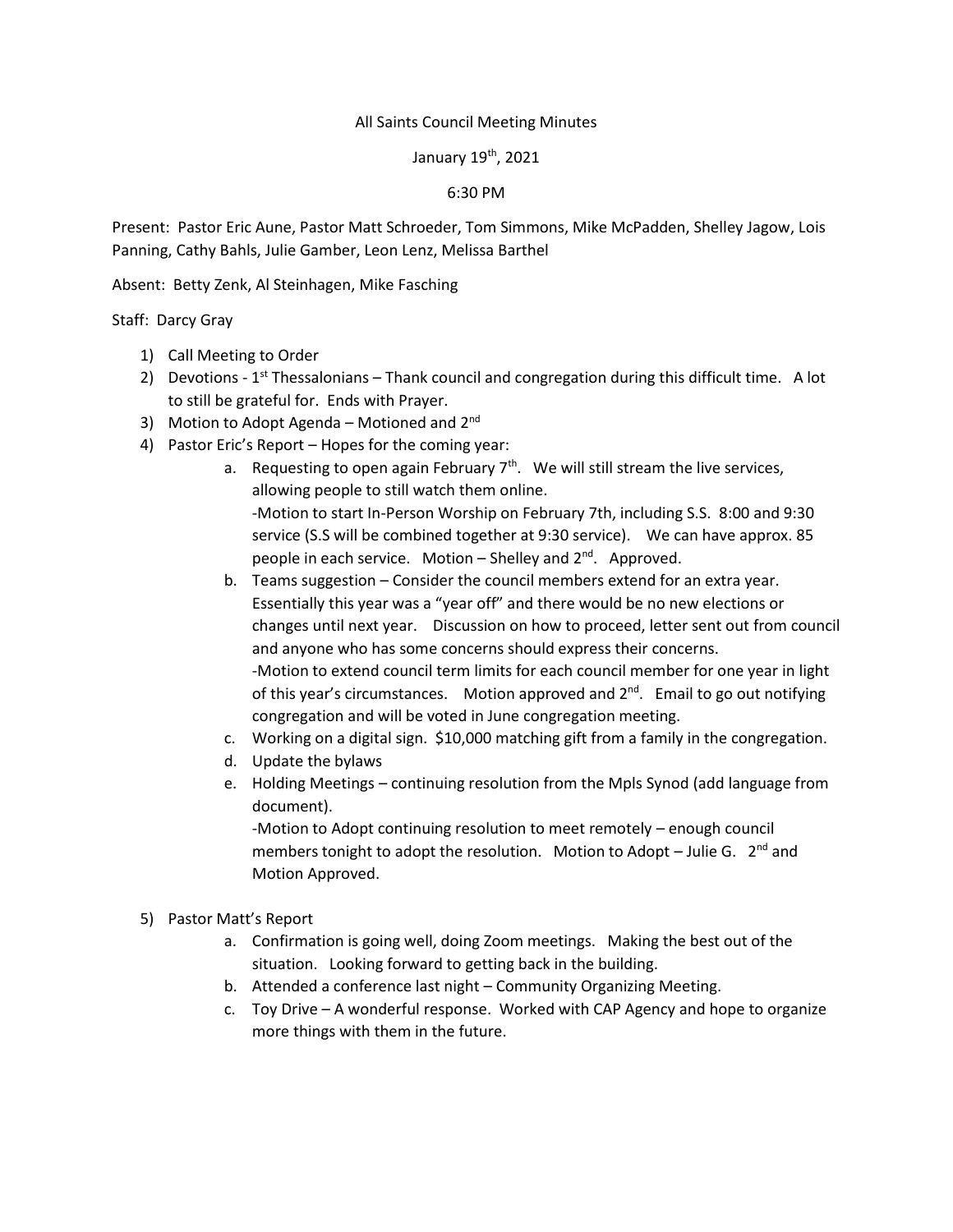## All Saints Council Meeting Minutes

## January 19th, 2021

## 6:30 PM

Present: Pastor Eric Aune, Pastor Matt Schroeder, Tom Simmons, Mike McPadden, Shelley Jagow, Lois Panning, Cathy Bahls, Julie Gamber, Leon Lenz, Melissa Barthel

Absent: Betty Zenk, Al Steinhagen, Mike Fasching

Staff: Darcy Gray

- 1) Call Meeting to Order
- 2) Devotions  $1^{st}$  Thessalonians Thank council and congregation during this difficult time. A lot to still be grateful for. Ends with Prayer.
- 3) Motion to Adopt Agenda Motioned and  $2^{nd}$
- 4) Pastor Eric's Report Hopes for the coming year:
	- a. Requesting to open again February  $7<sup>th</sup>$ . We will still stream the live services, allowing people to still watch them online.

-Motion to start In-Person Worship on February 7th, including S.S. 8:00 and 9:30 service (S.S will be combined together at 9:30 service). We can have approx. 85 people in each service. Motion – Shelley and  $2^{nd}$ . Approved.

- b. Teams suggestion Consider the council members extend for an extra year. Essentially this year was a "year off" and there would be no new elections or changes until next year. Discussion on how to proceed, letter sent out from council and anyone who has some concerns should express their concerns. -Motion to extend council term limits for each council member for one year in light of this year's circumstances. Motion approved and  $2^{nd}$ . Email to go out notifying congregation and will be voted in June congregation meeting.
- c. Working on a digital sign. \$10,000 matching gift from a family in the congregation.
- d. Update the bylaws
- e. Holding Meetings continuing resolution from the Mpls Synod (add language from document).

-Motion to Adopt continuing resolution to meet remotely – enough council members tonight to adopt the resolution. Motion to Adopt – Julie G.  $2^{nd}$  and Motion Approved.

- 5) Pastor Matt's Report
	- a. Confirmation is going well, doing Zoom meetings. Making the best out of the situation. Looking forward to getting back in the building.
	- b. Attended a conference last night Community Organizing Meeting.
	- c. Toy Drive A wonderful response. Worked with CAP Agency and hope to organize more things with them in the future.